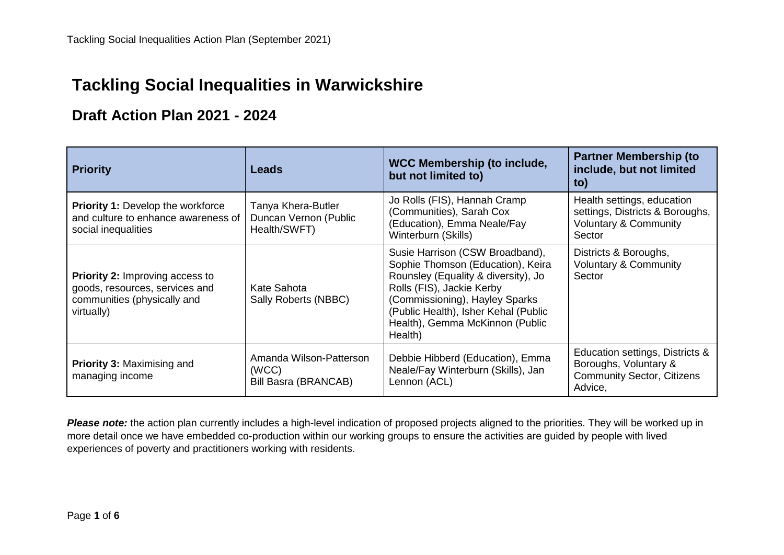## **Tackling Social Inequalities in Warwickshire**

#### **Draft Action Plan 2021 - 2024**

| <b>Priority</b>                                                                                                       | <b>Leads</b>                                                | <b>WCC Membership (to include,</b><br>but not limited to)                                                                                                                                                                                                        | <b>Partner Membership (to</b><br>include, but not limited<br>to)                                            |
|-----------------------------------------------------------------------------------------------------------------------|-------------------------------------------------------------|------------------------------------------------------------------------------------------------------------------------------------------------------------------------------------------------------------------------------------------------------------------|-------------------------------------------------------------------------------------------------------------|
| <b>Priority 1: Develop the workforce</b><br>and culture to enhance awareness of<br>social inequalities                | Tanya Khera-Butler<br>Duncan Vernon (Public<br>Health/SWFT) | Jo Rolls (FIS), Hannah Cramp<br>(Communities), Sarah Cox<br>(Education), Emma Neale/Fay<br>Winterburn (Skills)                                                                                                                                                   | Health settings, education<br>settings, Districts & Boroughs,<br><b>Voluntary &amp; Community</b><br>Sector |
| <b>Priority 2: Improving access to</b><br>goods, resources, services and<br>communities (physically and<br>virtually) | Kate Sahota<br>Sally Roberts (NBBC)                         | Susie Harrison (CSW Broadband),<br>Sophie Thomson (Education), Keira<br>Rounsley (Equality & diversity), Jo<br>Rolls (FIS), Jackie Kerby<br>(Commissioning), Hayley Sparks<br>(Public Health), Isher Kehal (Public<br>Health), Gemma McKinnon (Public<br>Health) | Districts & Boroughs,<br><b>Voluntary &amp; Community</b><br>Sector                                         |
| <b>Priority 3: Maximising and</b><br>managing income                                                                  | Amanda Wilson-Patterson<br>(WCC)<br>Bill Basra (BRANCAB)    | Debbie Hibberd (Education), Emma<br>Neale/Fay Winterburn (Skills), Jan<br>Lennon (ACL)                                                                                                                                                                           | Education settings, Districts &<br>Boroughs, Voluntary &<br><b>Community Sector, Citizens</b><br>Advice,    |

*Please note:* the action plan currently includes a high-level indication of proposed projects aligned to the priorities. They will be worked up in more detail once we have embedded co-production within our working groups to ensure the activities are guided by people with lived experiences of poverty and practitioners working with residents.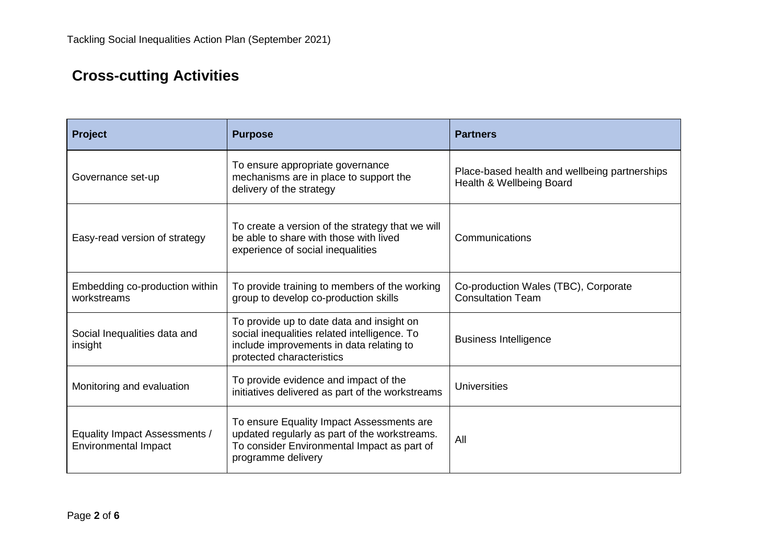# **Cross-cutting Activities**

| <b>Project</b>                                               | <b>Purpose</b>                                                                                                                                                     | <b>Partners</b>                                                           |
|--------------------------------------------------------------|--------------------------------------------------------------------------------------------------------------------------------------------------------------------|---------------------------------------------------------------------------|
| Governance set-up                                            | To ensure appropriate governance<br>mechanisms are in place to support the<br>delivery of the strategy                                                             | Place-based health and wellbeing partnerships<br>Health & Wellbeing Board |
| Easy-read version of strategy                                | To create a version of the strategy that we will<br>be able to share with those with lived<br>experience of social inequalities                                    | Communications                                                            |
| Embedding co-production within<br>workstreams                | To provide training to members of the working<br>group to develop co-production skills                                                                             | Co-production Wales (TBC), Corporate<br><b>Consultation Team</b>          |
| Social Inequalities data and<br>insight                      | To provide up to date data and insight on<br>social inequalities related intelligence. To<br>include improvements in data relating to<br>protected characteristics | <b>Business Intelligence</b>                                              |
| Monitoring and evaluation                                    | To provide evidence and impact of the<br>initiatives delivered as part of the workstreams                                                                          | Universities                                                              |
| Equality Impact Assessments /<br><b>Environmental Impact</b> | To ensure Equality Impact Assessments are<br>updated regularly as part of the workstreams.<br>To consider Environmental Impact as part of<br>programme delivery    | All                                                                       |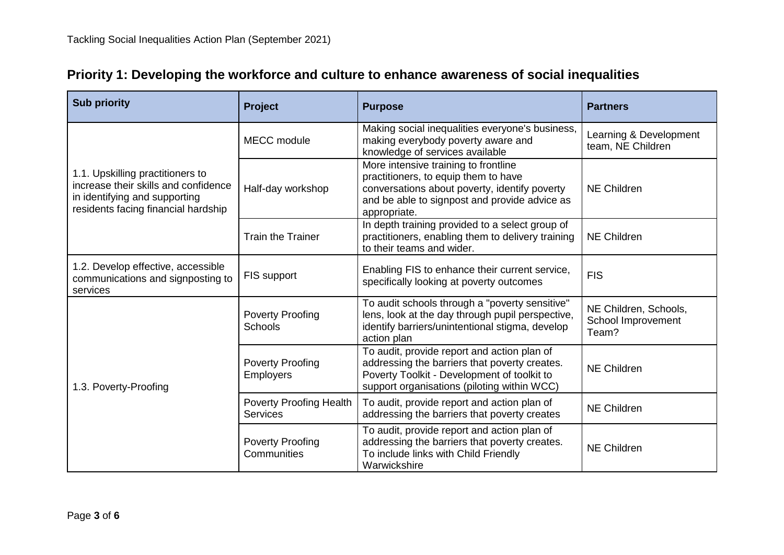| <b>Sub priority</b>                                                                                                                              | Project                                           | <b>Purpose</b>                                                                                                                                                                                 | <b>Partners</b>                                      |
|--------------------------------------------------------------------------------------------------------------------------------------------------|---------------------------------------------------|------------------------------------------------------------------------------------------------------------------------------------------------------------------------------------------------|------------------------------------------------------|
| 1.1. Upskilling practitioners to<br>increase their skills and confidence<br>in identifying and supporting<br>residents facing financial hardship | <b>MECC</b> module                                | Making social inequalities everyone's business,<br>making everybody poverty aware and<br>knowledge of services available                                                                       | Learning & Development<br>team, NE Children          |
|                                                                                                                                                  | Half-day workshop                                 | More intensive training to frontline<br>practitioners, to equip them to have<br>conversations about poverty, identify poverty<br>and be able to signpost and provide advice as<br>appropriate. | <b>NE Children</b>                                   |
|                                                                                                                                                  | <b>Train the Trainer</b>                          | In depth training provided to a select group of<br>practitioners, enabling them to delivery training<br>to their teams and wider.                                                              | <b>NE Children</b>                                   |
| 1.2. Develop effective, accessible<br>communications and signposting to<br>services                                                              | FIS support                                       | Enabling FIS to enhance their current service,<br>specifically looking at poverty outcomes                                                                                                     | <b>FIS</b>                                           |
| 1.3. Poverty-Proofing                                                                                                                            | <b>Poverty Proofing</b><br>Schools                | To audit schools through a "poverty sensitive"<br>lens, look at the day through pupil perspective,<br>identify barriers/unintentional stigma, develop<br>action plan                           | NE Children, Schools,<br>School Improvement<br>Team? |
|                                                                                                                                                  | <b>Poverty Proofing</b><br><b>Employers</b>       | To audit, provide report and action plan of<br>addressing the barriers that poverty creates.<br>Poverty Toolkit - Development of toolkit to<br>support organisations (piloting within WCC)     | <b>NE Children</b>                                   |
|                                                                                                                                                  | <b>Poverty Proofing Health</b><br><b>Services</b> | To audit, provide report and action plan of<br>addressing the barriers that poverty creates                                                                                                    | <b>NE Children</b>                                   |
|                                                                                                                                                  | <b>Poverty Proofing</b><br>Communities            | To audit, provide report and action plan of<br>addressing the barriers that poverty creates.<br>To include links with Child Friendly<br>Warwickshire                                           | <b>NE Children</b>                                   |

### **Priority 1: Developing the workforce and culture to enhance awareness of social inequalities**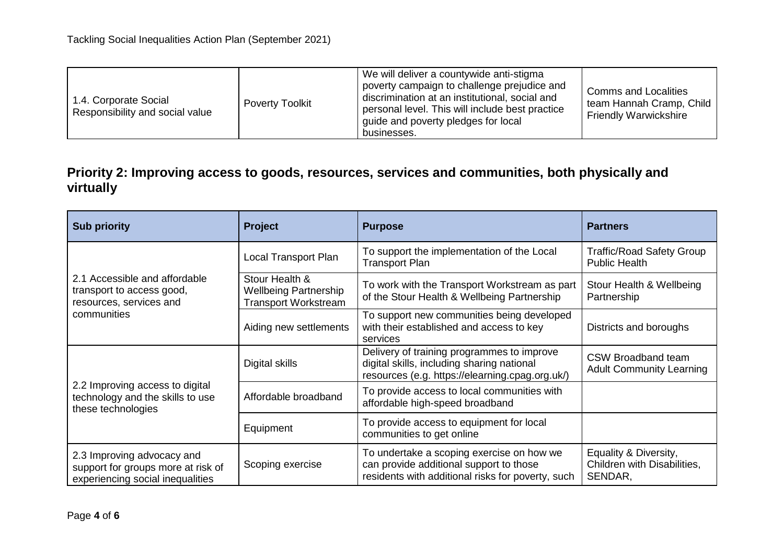| 1.4. Corporate Social<br>Responsibility and social value | <b>Poverty Toolkit</b> | We will deliver a countywide anti-stigma<br>poverty campaign to challenge prejudice and<br>discrimination at an institutional, social and<br>personal level. This will include best practice<br>guide and poverty pledges for local<br>businesses. | <b>Comms and Localities</b><br>team Hannah Cramp, Child<br><b>Friendly Warwickshire</b> |
|----------------------------------------------------------|------------------------|----------------------------------------------------------------------------------------------------------------------------------------------------------------------------------------------------------------------------------------------------|-----------------------------------------------------------------------------------------|
|----------------------------------------------------------|------------------------|----------------------------------------------------------------------------------------------------------------------------------------------------------------------------------------------------------------------------------------------------|-----------------------------------------------------------------------------------------|

### **Priority 2: Improving access to goods, resources, services and communities, both physically and virtually**

| <b>Sub priority</b>                                                                                  | <b>Project</b>                                                                | <b>Purpose</b>                                                                                                                              | <b>Partners</b>                                                 |
|------------------------------------------------------------------------------------------------------|-------------------------------------------------------------------------------|---------------------------------------------------------------------------------------------------------------------------------------------|-----------------------------------------------------------------|
| 2.1 Accessible and affordable<br>transport to access good,<br>resources, services and<br>communities | Local Transport Plan                                                          | To support the implementation of the Local<br><b>Transport Plan</b>                                                                         | <b>Traffic/Road Safety Group</b><br><b>Public Health</b>        |
|                                                                                                      | Stour Health &<br><b>Wellbeing Partnership</b><br><b>Transport Workstream</b> | To work with the Transport Workstream as part<br>of the Stour Health & Wellbeing Partnership                                                | Stour Health & Wellbeing<br>Partnership                         |
|                                                                                                      | Aiding new settlements                                                        | To support new communities being developed<br>with their established and access to key<br>services                                          | Districts and boroughs                                          |
| 2.2 Improving access to digital<br>technology and the skills to use<br>these technologies            | Digital skills                                                                | Delivery of training programmes to improve<br>digital skills, including sharing national<br>resources (e.g. https://elearning.cpag.org.uk/) | <b>CSW Broadband team</b><br><b>Adult Community Learning</b>    |
|                                                                                                      | Affordable broadband                                                          | To provide access to local communities with<br>affordable high-speed broadband                                                              |                                                                 |
|                                                                                                      | Equipment                                                                     | To provide access to equipment for local<br>communities to get online                                                                       |                                                                 |
| 2.3 Improving advocacy and<br>support for groups more at risk of<br>experiencing social inequalities | Scoping exercise                                                              | To undertake a scoping exercise on how we<br>can provide additional support to those<br>residents with additional risks for poverty, such   | Equality & Diversity,<br>Children with Disabilities,<br>SENDAR, |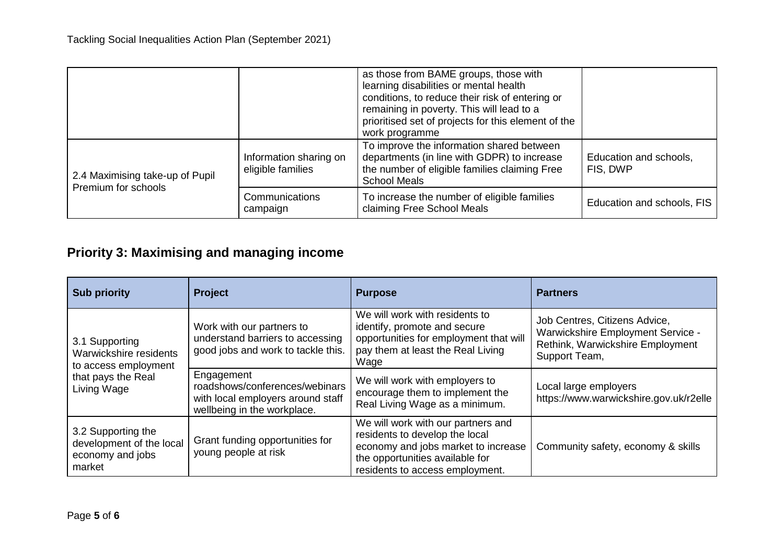|                                                        |                                             | as those from BAME groups, those with<br>learning disabilities or mental health<br>conditions, to reduce their risk of entering or<br>remaining in poverty. This will lead to a<br>prioritised set of projects for this element of the<br>work programme |                                    |
|--------------------------------------------------------|---------------------------------------------|----------------------------------------------------------------------------------------------------------------------------------------------------------------------------------------------------------------------------------------------------------|------------------------------------|
| 2.4 Maximising take-up of Pupil<br>Premium for schools | Information sharing on<br>eligible families | To improve the information shared between<br>departments (in line with GDPR) to increase<br>the number of eligible families claiming Free<br><b>School Meals</b>                                                                                         | Education and schools,<br>FIS, DWP |
|                                                        | Communications<br>campaign                  | To increase the number of eligible families<br>claiming Free School Meals                                                                                                                                                                                | Education and schools, FIS         |

## **Priority 3: Maximising and managing income**

| <b>Sub priority</b>                                                                                   | Project                                                                                                          | <b>Purpose</b>                                                                                                                                                                    | <b>Partners</b>                                                                                                         |
|-------------------------------------------------------------------------------------------------------|------------------------------------------------------------------------------------------------------------------|-----------------------------------------------------------------------------------------------------------------------------------------------------------------------------------|-------------------------------------------------------------------------------------------------------------------------|
| 3.1 Supporting<br>Warwickshire residents<br>to access employment<br>that pays the Real<br>Living Wage | Work with our partners to<br>understand barriers to accessing<br>good jobs and work to tackle this.              | We will work with residents to<br>identify, promote and secure<br>opportunities for employment that will<br>pay them at least the Real Living<br>Wage                             | Job Centres, Citizens Advice,<br>Warwickshire Employment Service -<br>Rethink, Warwickshire Employment<br>Support Team, |
|                                                                                                       | Engagement<br>roadshows/conferences/webinars<br>with local employers around staff<br>wellbeing in the workplace. | We will work with employers to<br>encourage them to implement the<br>Real Living Wage as a minimum.                                                                               | Local large employers<br>https://www.warwickshire.gov.uk/r2elle                                                         |
| 3.2 Supporting the<br>development of the local<br>economy and jobs<br>market                          | Grant funding opportunities for<br>young people at risk                                                          | We will work with our partners and<br>residents to develop the local<br>economy and jobs market to increase<br>the opportunities available for<br>residents to access employment. | Community safety, economy & skills                                                                                      |